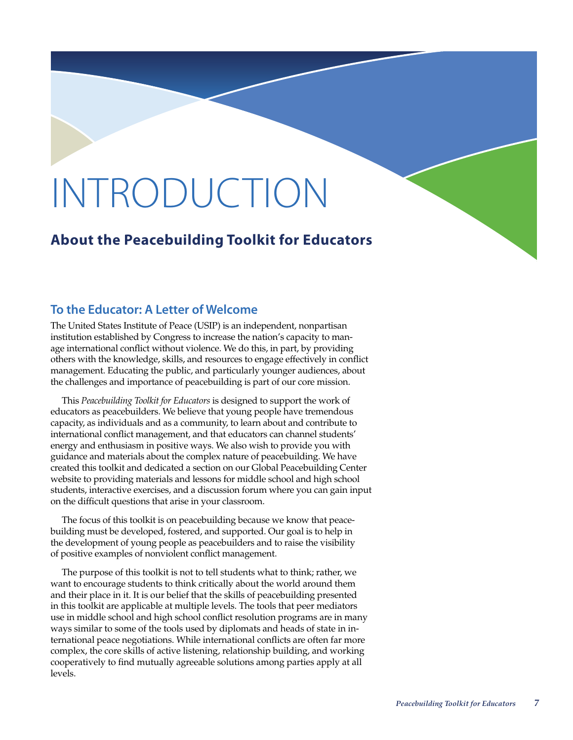# Introduction

# **About the Peacebuilding Toolkit for Educators**

## **To the Educator: A Letter of Welcome**

The United States Institute of Peace (USIP) is an independent, nonpartisan institution established by Congress to increase the nation's capacity to manage international conflict without violence. We do this, in part, by providing others with the knowledge, skills, and resources to engage effectively in conflict management. Educating the public, and particularly younger audiences, about the challenges and importance of peacebuilding is part of our core mission.

This *Peacebuilding Toolkit for Educators* is designed to support the work of educators as peacebuilders. We believe that young people have tremendous capacity, as individuals and as a community, to learn about and contribute to international conflict management, and that educators can channel students' energy and enthusiasm in positive ways. We also wish to provide you with guidance and materials about the complex nature of peacebuilding. We have created this toolkit and dedicated a section on our Global Peacebuilding Center website to providing materials and lessons for middle school and high school students, interactive exercises, and a discussion forum where you can gain input on the difficult questions that arise in your classroom.

The focus of this toolkit is on peacebuilding because we know that peacebuilding must be developed, fostered, and supported. Our goal is to help in the development of young people as peacebuilders and to raise the visibility of positive examples of nonviolent conflict management.

The purpose of this toolkit is not to tell students what to think; rather, we want to encourage students to think critically about the world around them and their place in it. It is our belief that the skills of peacebuilding presented in this toolkit are applicable at multiple levels. The tools that peer mediators use in middle school and high school conflict resolution programs are in many ways similar to some of the tools used by diplomats and heads of state in international peace negotiations. While international conflicts are often far more complex, the core skills of active listening, relationship building, and working cooperatively to find mutually agreeable solutions among parties apply at all levels.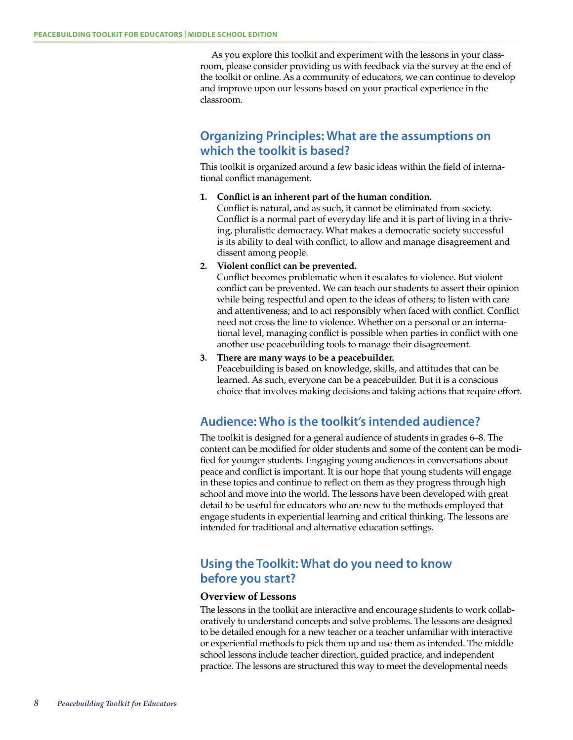As you explore this toolkit and experiment with the lessons in your classroom, please consider providing us with feedback via the survey at the end of the toolkit or online. As a community of educators, we can continue to develop and improve upon our lessons based on your practical experience in the classroom.

## **Organizing Principles: What are the assumptions on which the toolkit is based?**

This toolkit is organized around a few basic ideas within the field of international conflict management.

**1. Conflict is an inherent part of the human condition.**

Conflict is natural, and as such, it cannot be eliminated from society. Conflict is a normal part of everyday life and it is part of living in a thriving, pluralistic democracy. What makes a democratic society successful is its ability to deal with conflict, to allow and manage disagreement and dissent among people.

**2. Violent conflict can be prevented.**

Conflict becomes problematic when it escalates to violence. But violent conflict can be prevented. We can teach our students to assert their opinion while being respectful and open to the ideas of others; to listen with care and attentiveness; and to act responsibly when faced with conflict. Conflict need not cross the line to violence. Whether on a personal or an international level, managing conflict is possible when parties in conflict with one another use peacebuilding tools to manage their disagreement.

**3. There are many ways to be a peacebuilder.**

Peacebuilding is based on knowledge, skills, and attitudes that can be learned. As such, everyone can be a peacebuilder. But it is a conscious choice that involves making decisions and taking actions that require effort.

## **Audience: Who is the toolkit's intended audience?**

The toolkit is designed for a general audience of students in grades 6–8. The content can be modified for older students and some of the content can be modified for younger students. Engaging young audiences in conversations about peace and conflict is important. It is our hope that young students will engage in these topics and continue to reflect on them as they progress through high school and move into the world. The lessons have been developed with great detail to be useful for educators who are new to the methods employed that engage students in experiential learning and critical thinking. The lessons are intended for traditional and alternative education settings.

## **Using the Toolkit: What do you need to know before you start?**

#### **Overview of Lessons**

The lessons in the toolkit are interactive and encourage students to work collaboratively to understand concepts and solve problems. The lessons are designed to be detailed enough for a new teacher or a teacher unfamiliar with interactive or experiential methods to pick them up and use them as intended. The middle school lessons include teacher direction, guided practice, and independent practice. The lessons are structured this way to meet the developmental needs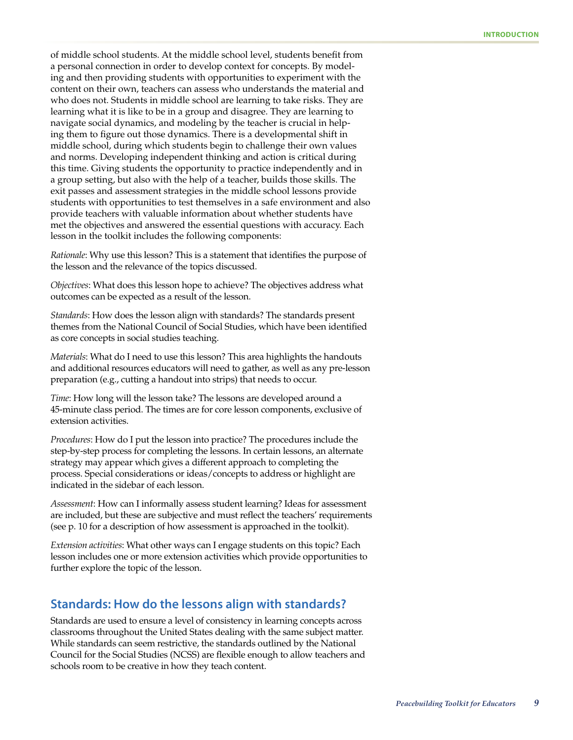of middle school students. At the middle school level, students benefit from a personal connection in order to develop context for concepts. By modeling and then providing students with opportunities to experiment with the content on their own, teachers can assess who understands the material and who does not. Students in middle school are learning to take risks. They are learning what it is like to be in a group and disagree. They are learning to navigate social dynamics, and modeling by the teacher is crucial in helping them to figure out those dynamics. There is a developmental shift in middle school, during which students begin to challenge their own values and norms. Developing independent thinking and action is critical during this time. Giving students the opportunity to practice independently and in a group setting, but also with the help of a teacher, builds those skills. The exit passes and assessment strategies in the middle school lessons provide students with opportunities to test themselves in a safe environment and also provide teachers with valuable information about whether students have met the objectives and answered the essential questions with accuracy. Each lesson in the toolkit includes the following components:

*Rationale*: Why use this lesson? This is a statement that identifies the purpose of the lesson and the relevance of the topics discussed.

*Objectives*: What does this lesson hope to achieve? The objectives address what outcomes can be expected as a result of the lesson.

*Standards*: How does the lesson align with standards? The standards present themes from the National Council of Social Studies, which have been identified as core concepts in social studies teaching.

*Materials*: What do I need to use this lesson? This area highlights the handouts and additional resources educators will need to gather, as well as any pre-lesson preparation (e.g., cutting a handout into strips) that needs to occur.

*Time*: How long will the lesson take? The lessons are developed around a 45-minute class period. The times are for core lesson components, exclusive of extension activities.

*Procedures*: How do I put the lesson into practice? The procedures include the step-by-step process for completing the lessons. In certain lessons, an alternate strategy may appear which gives a different approach to completing the process. Special considerations or ideas/concepts to address or highlight are indicated in the sidebar of each lesson.

*Assessment*: How can I informally assess student learning? Ideas for assessment are included, but these are subjective and must reflect the teachers' requirements (see p. 10 for a description of how assessment is approached in the toolkit).

*Extension activities*: What other ways can I engage students on this topic? Each lesson includes one or more extension activities which provide opportunities to further explore the topic of the lesson.

## **Standards: How do the lessons align with standards?**

Standards are used to ensure a level of consistency in learning concepts across classrooms throughout the United States dealing with the same subject matter. While standards can seem restrictive, the standards outlined by the National Council for the Social Studies (NCSS) are flexible enough to allow teachers and schools room to be creative in how they teach content.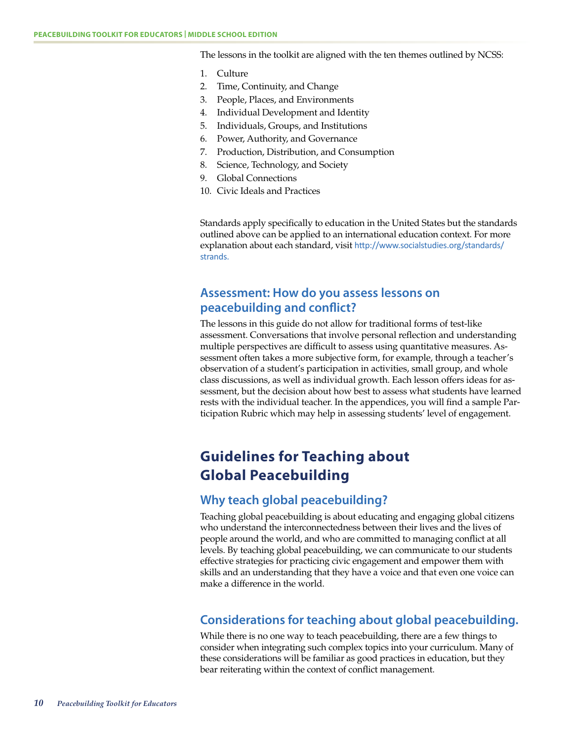The lessons in the toolkit are aligned with the ten themes outlined by NCSS:

- 1. Culture
- 2. Time, Continuity, and Change
- 3. People, Places, and Environments
- 4. Individual Development and Identity
- 5. Individuals, Groups, and Institutions
- 6. Power, Authority, and Governance
- 7. Production, Distribution, and Consumption
- 8. Science, Technology, and Society
- 9. Global Connections
- 10. Civic Ideals and Practices

Standards apply specifically to education in the United States but the standards outlined above can be applied to an international education context. For more explanation about each standard, visit http://www.socialstudies.org/standards/ strands.

## **Assessment: How do you assess lessons on peacebuilding and conflict?**

The lessons in this guide do not allow for traditional forms of test-like assessment. Conversations that involve personal reflection and understanding multiple perspectives are difficult to assess using quantitative measures. Assessment often takes a more subjective form, for example, through a teacher's observation of a student's participation in activities, small group, and whole class discussions, as well as individual growth. Each lesson offers ideas for assessment, but the decision about how best to assess what students have learned rests with the individual teacher. In the appendices, you will find a sample Participation Rubric which may help in assessing students' level of engagement.

# **Guidelines for Teaching about Global Peacebuilding**

#### **Why teach global peacebuilding?**

Teaching global peacebuilding is about educating and engaging global citizens who understand the interconnectedness between their lives and the lives of people around the world, and who are committed to managing conflict at all levels. By teaching global peacebuilding, we can communicate to our students effective strategies for practicing civic engagement and empower them with skills and an understanding that they have a voice and that even one voice can make a difference in the world.

## **Considerations for teaching about global peacebuilding.**

While there is no one way to teach peacebuilding, there are a few things to consider when integrating such complex topics into your curriculum. Many of these considerations will be familiar as good practices in education, but they bear reiterating within the context of conflict management.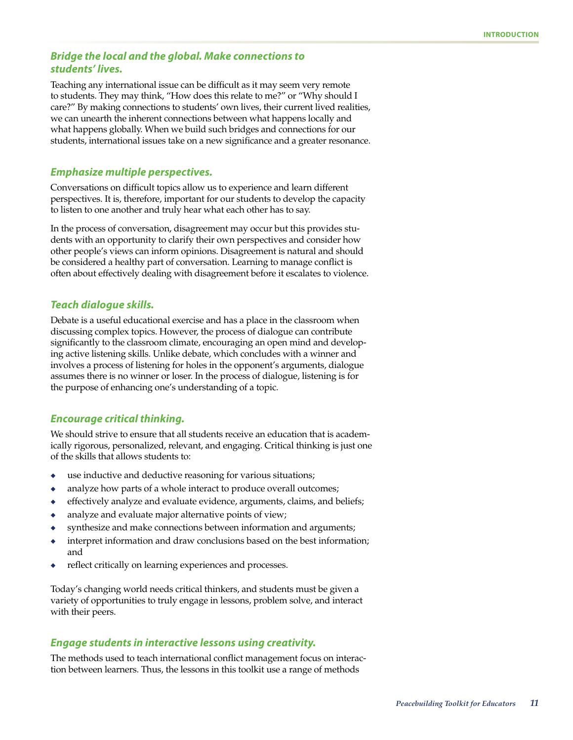#### *Bridge the local and the global. Make connections to students' lives.*

Teaching any international issue can be difficult as it may seem very remote to students. They may think, "How does this relate to me?" or "Why should I care?" By making connections to students' own lives, their current lived realities, we can unearth the inherent connections between what happens locally and what happens globally. When we build such bridges and connections for our students, international issues take on a new significance and a greater resonance.

#### *Emphasize multiple perspectives.*

Conversations on difficult topics allow us to experience and learn different perspectives. It is, therefore, important for our students to develop the capacity to listen to one another and truly hear what each other has to say.

In the process of conversation, disagreement may occur but this provides students with an opportunity to clarify their own perspectives and consider how other people's views can inform opinions. Disagreement is natural and should be considered a healthy part of conversation. Learning to manage conflict is often about effectively dealing with disagreement before it escalates to violence.

## *Teach dialogue skills.*

Debate is a useful educational exercise and has a place in the classroom when discussing complex topics. However, the process of dialogue can contribute significantly to the classroom climate, encouraging an open mind and developing active listening skills. Unlike debate, which concludes with a winner and involves a process of listening for holes in the opponent's arguments, dialogue assumes there is no winner or loser. In the process of dialogue, listening is for the purpose of enhancing one's understanding of a topic.

## *Encourage critical thinking.*

We should strive to ensure that all students receive an education that is academically rigorous, personalized, relevant, and engaging. Critical thinking is just one of the skills that allows students to:

- use inductive and deductive reasoning for various situations;
- analyze how parts of a whole interact to produce overall outcomes;
- effectively analyze and evaluate evidence, arguments, claims, and beliefs;
- analyze and evaluate major alternative points of view;
- synthesize and make connections between information and arguments;
- interpret information and draw conclusions based on the best information; and
- reflect critically on learning experiences and processes.

Today's changing world needs critical thinkers, and students must be given a variety of opportunities to truly engage in lessons, problem solve, and interact with their peers.

#### *Engage students in interactive lessons using creativity.*

The methods used to teach international conflict management focus on interaction between learners. Thus, the lessons in this toolkit use a range of methods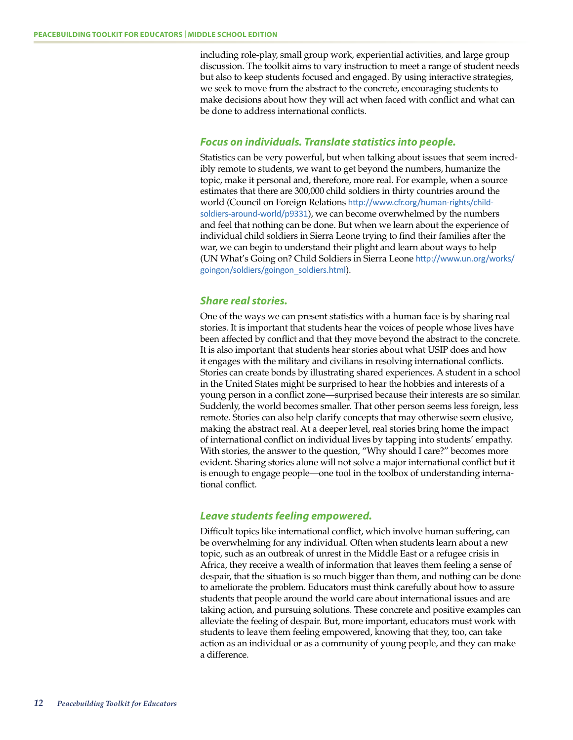including role-play, small group work, experiential activities, and large group discussion. The toolkit aims to vary instruction to meet a range of student needs but also to keep students focused and engaged. By using interactive strategies, we seek to move from the abstract to the concrete, encouraging students to make decisions about how they will act when faced with conflict and what can be done to address international conflicts.

#### *Focus on individuals. Translate statistics into people.*

Statistics can be very powerful, but when talking about issues that seem incredibly remote to students, we want to get beyond the numbers, humanize the topic, make it personal and, therefore, more real. For example, when a source estimates that there are 300,000 child soldiers in thirty countries around the world (Council on Foreign Relations http://www.cfr.org/human-rights/childsoldiers-around-world/p9331), we can become overwhelmed by the numbers and feel that nothing can be done. But when we learn about the experience of individual child soldiers in Sierra Leone trying to find their families after the war, we can begin to understand their plight and learn about ways to help (UN What's Going on? Child Soldiers in Sierra Leone http://www.un.org/works/ goingon/soldiers/goingon\_soldiers.html).

#### *Share real stories.*

One of the ways we can present statistics with a human face is by sharing real stories. It is important that students hear the voices of people whose lives have been affected by conflict and that they move beyond the abstract to the concrete. It is also important that students hear stories about what USIP does and how it engages with the military and civilians in resolving international conflicts. Stories can create bonds by illustrating shared experiences. A student in a school in the United States might be surprised to hear the hobbies and interests of a young person in a conflict zone—surprised because their interests are so similar. Suddenly, the world becomes smaller. That other person seems less foreign, less remote. Stories can also help clarify concepts that may otherwise seem elusive, making the abstract real. At a deeper level, real stories bring home the impact of international conflict on individual lives by tapping into students' empathy. With stories, the answer to the question, "Why should I care?" becomes more evident. Sharing stories alone will not solve a major international conflict but it is enough to engage people—one tool in the toolbox of understanding international conflict.

#### *Leave students feeling empowered.*

Difficult topics like international conflict, which involve human suffering, can be overwhelming for any individual. Often when students learn about a new topic, such as an outbreak of unrest in the Middle East or a refugee crisis in Africa, they receive a wealth of information that leaves them feeling a sense of despair, that the situation is so much bigger than them, and nothing can be done to ameliorate the problem. Educators must think carefully about how to assure students that people around the world care about international issues and are taking action, and pursuing solutions. These concrete and positive examples can alleviate the feeling of despair. But, more important, educators must work with students to leave them feeling empowered, knowing that they, too, can take action as an individual or as a community of young people, and they can make a difference.